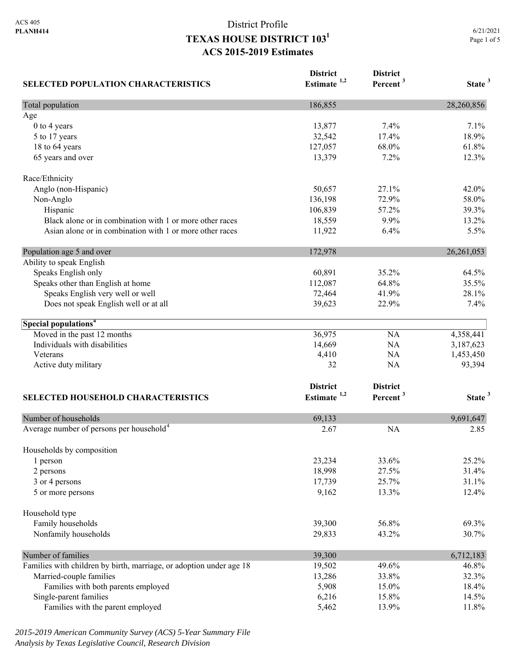| <b>SELECTED POPULATION CHARACTERISTICS</b>                          | <b>District</b><br>Estimate $1,2$ | <b>District</b><br>Percent <sup>3</sup> | State <sup>3</sup> |
|---------------------------------------------------------------------|-----------------------------------|-----------------------------------------|--------------------|
| Total population                                                    | 186,855                           |                                         | 28,260,856         |
| Age                                                                 |                                   |                                         |                    |
| 0 to 4 years                                                        | 13,877                            | 7.4%                                    | 7.1%               |
| 5 to 17 years                                                       | 32,542                            | 17.4%                                   | 18.9%              |
| 18 to 64 years                                                      | 127,057                           | 68.0%                                   | 61.8%              |
| 65 years and over                                                   | 13,379                            | 7.2%                                    | 12.3%              |
| Race/Ethnicity                                                      |                                   |                                         |                    |
| Anglo (non-Hispanic)                                                | 50,657                            | 27.1%                                   | 42.0%              |
| Non-Anglo                                                           | 136,198                           | 72.9%                                   | 58.0%              |
| Hispanic                                                            | 106,839                           | 57.2%                                   | 39.3%              |
| Black alone or in combination with 1 or more other races            | 18,559                            | 9.9%                                    | 13.2%              |
| Asian alone or in combination with 1 or more other races            | 11,922                            | 6.4%                                    | 5.5%               |
| Population age 5 and over                                           | 172,978                           |                                         | 26, 261, 053       |
| Ability to speak English                                            |                                   |                                         |                    |
| Speaks English only                                                 | 60,891                            | 35.2%                                   | 64.5%              |
| Speaks other than English at home                                   | 112,087                           | 64.8%                                   | 35.5%              |
| Speaks English very well or well                                    | 72,464                            | 41.9%                                   | 28.1%              |
| Does not speak English well or at all                               | 39,623                            | 22.9%                                   | 7.4%               |
| Special populations <sup>4</sup>                                    |                                   |                                         |                    |
| Moved in the past 12 months                                         | 36,975                            | NA                                      | 4,358,441          |
| Individuals with disabilities                                       | 14,669                            | NA                                      | 3,187,623          |
| Veterans                                                            | 4,410                             | NA                                      | 1,453,450          |
| Active duty military                                                | 32                                | NA                                      | 93,394             |
|                                                                     | <b>District</b>                   | <b>District</b>                         |                    |
| <b>SELECTED HOUSEHOLD CHARACTERISTICS</b>                           | Estimate <sup>1,2</sup>           | Percent <sup>3</sup>                    | State <sup>3</sup> |
|                                                                     |                                   |                                         |                    |
| Number of households                                                | 69,133                            |                                         | 9,691,647          |
| Average number of persons per household <sup>4</sup>                | 2.67                              | <b>NA</b>                               | 2.85               |
| Households by composition                                           |                                   |                                         |                    |
| 1 person                                                            | 23,234                            | 33.6%                                   | 25.2%              |
| 2 persons                                                           | 18,998                            | 27.5%                                   | 31.4%              |
| 3 or 4 persons                                                      | 17,739                            | 25.7%                                   | 31.1%              |
| 5 or more persons                                                   | 9,162                             | 13.3%                                   | 12.4%              |
| Household type                                                      |                                   |                                         |                    |
| Family households                                                   | 39,300                            | 56.8%                                   | 69.3%              |
| Nonfamily households                                                | 29,833                            | 43.2%                                   | 30.7%              |
| Number of families                                                  | 39,300                            |                                         | 6,712,183          |
| Families with children by birth, marriage, or adoption under age 18 | 19,502                            | 49.6%                                   | 46.8%              |
| Married-couple families                                             | 13,286                            | 33.8%                                   | 32.3%              |
| Families with both parents employed                                 | 5,908                             | 15.0%                                   | 18.4%              |
| Single-parent families                                              | 6,216                             | 15.8%                                   | 14.5%              |
| Families with the parent employed                                   | 5,462                             | 13.9%                                   | 11.8%              |

*2015-2019 American Community Survey (ACS) 5-Year Summary File Analysis by Texas Legislative Council, Research Division*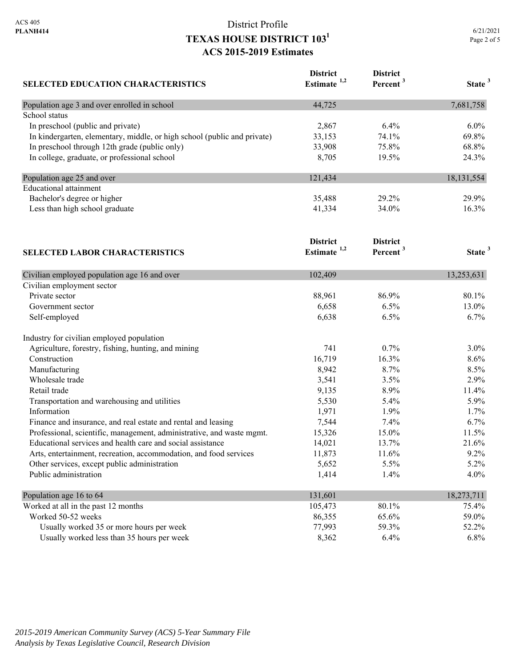|             | 6/21/2021 |
|-------------|-----------|
| Page 2 of 5 |           |

| <b>SELECTED EDUCATION CHARACTERISTICS</b>                                | <b>District</b><br>Estimate <sup>1,2</sup> | <b>District</b><br>Percent <sup>3</sup> | State <sup>3</sup> |
|--------------------------------------------------------------------------|--------------------------------------------|-----------------------------------------|--------------------|
|                                                                          |                                            |                                         |                    |
| Population age 3 and over enrolled in school                             | 44,725                                     |                                         | 7,681,758          |
| School status                                                            |                                            |                                         |                    |
| In preschool (public and private)                                        | 2,867                                      | 6.4%                                    | $6.0\%$            |
| In kindergarten, elementary, middle, or high school (public and private) | 33,153                                     | 74.1%                                   | 69.8%              |
| In preschool through 12th grade (public only)                            | 33,908                                     | 75.8%                                   | 68.8%              |
| In college, graduate, or professional school                             | 8,705                                      | 19.5%                                   | 24.3%              |
| Population age 25 and over                                               | 121,434                                    |                                         | 18, 131, 554       |
| Educational attainment                                                   |                                            |                                         |                    |
| Bachelor's degree or higher                                              | 35,488                                     | 29.2%                                   | 29.9%              |
| Less than high school graduate                                           | 41,334                                     | 34.0%                                   | 16.3%              |
| <b>SELECTED LABOR CHARACTERISTICS</b>                                    | <b>District</b><br>Estimate $1,2$          | <b>District</b><br>Percent <sup>3</sup> | State <sup>3</sup> |
| Civilian employed population age 16 and over                             | 102,409                                    |                                         | 13,253,631         |
| Civilian employment sector                                               |                                            |                                         |                    |
| Private sector                                                           | 88,961                                     | 86.9%                                   | 80.1%              |
| Government sector                                                        | 6,658                                      | 6.5%                                    | 13.0%              |
| Self-employed                                                            | 6,638                                      | 6.5%                                    | 6.7%               |
| Industry for civilian employed population                                |                                            |                                         |                    |
| Agriculture, forestry, fishing, hunting, and mining                      | 741                                        | 0.7%                                    | $3.0\%$            |

| Construction                                                          | 16,719  | 16.3%   | $8.6\%$    |
|-----------------------------------------------------------------------|---------|---------|------------|
| Manufacturing                                                         | 8,942   | $8.7\%$ | $8.5\%$    |
| Wholesale trade                                                       | 3,541   | 3.5%    | 2.9%       |
| Retail trade                                                          | 9,135   | 8.9%    | $11.4\%$   |
| Transportation and warehousing and utilities                          | 5,530   | $5.4\%$ | $5.9\%$    |
| Information                                                           | 1,971   | $1.9\%$ | $1.7\%$    |
| Finance and insurance, and real estate and rental and leasing         | 7,544   | $7.4\%$ | $6.7\%$    |
| Professional, scientific, management, administrative, and waste mgmt. | 15,326  | 15.0%   | 11.5%      |
| Educational services and health care and social assistance            | 14,021  | 13.7%   | 21.6%      |
| Arts, entertainment, recreation, accommodation, and food services     | 11,873  | 11.6%   | $9.2\%$    |
| Other services, except public administration                          | 5,652   | $5.5\%$ | $5.2\%$    |
| Public administration                                                 | 1,414   | $1.4\%$ | $4.0\%$    |
| Population age 16 to 64                                               | 131,601 |         | 18,273,711 |
| Worked at all in the past 12 months                                   | 105,473 | 80.1%   | 75.4%      |
| Worked 50-52 weeks                                                    | 86,355  | 65.6%   | 59.0%      |
| Usually worked 35 or more hours per week                              | 77,993  | 59.3%   | 52.2%      |
| Usually worked less than 35 hours per week                            | 8,362   | $6.4\%$ | $6.8\%$    |
|                                                                       |         |         |            |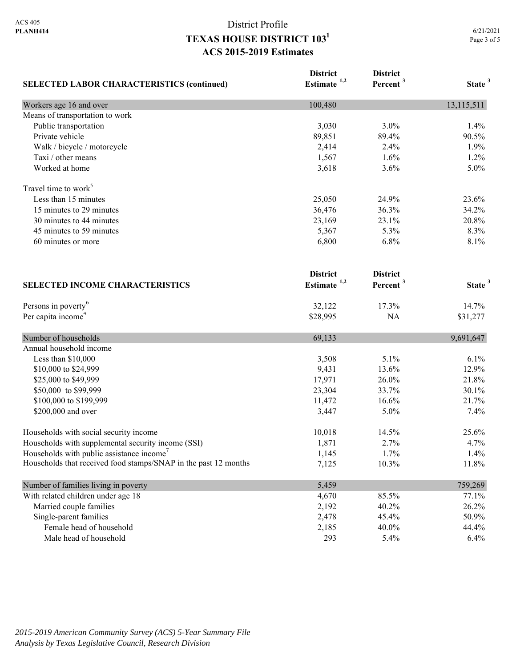|                                                                 | <b>District</b>         | <b>District</b>      |                    |
|-----------------------------------------------------------------|-------------------------|----------------------|--------------------|
| <b>SELECTED LABOR CHARACTERISTICS (continued)</b>               | Estimate <sup>1,2</sup> | Percent <sup>3</sup> | State <sup>3</sup> |
| Workers age 16 and over                                         | 100,480                 |                      | 13,115,511         |
| Means of transportation to work                                 |                         |                      |                    |
| Public transportation                                           | 3,030                   | 3.0%                 | 1.4%               |
| Private vehicle                                                 | 89,851                  | 89.4%                | 90.5%              |
| Walk / bicycle / motorcycle                                     | 2,414                   | 2.4%                 | 1.9%               |
| Taxi / other means                                              | 1,567                   | 1.6%                 | 1.2%               |
| Worked at home                                                  | 3,618                   | 3.6%                 | 5.0%               |
| Travel time to work <sup>5</sup>                                |                         |                      |                    |
| Less than 15 minutes                                            | 25,050                  | 24.9%                | 23.6%              |
| 15 minutes to 29 minutes                                        | 36,476                  | 36.3%                | 34.2%              |
| 30 minutes to 44 minutes                                        | 23,169                  | 23.1%                | 20.8%              |
| 45 minutes to 59 minutes                                        | 5,367                   | 5.3%                 | 8.3%               |
| 60 minutes or more                                              | 6,800                   | 6.8%                 | 8.1%               |
|                                                                 | <b>District</b>         | <b>District</b>      |                    |
| <b>SELECTED INCOME CHARACTERISTICS</b>                          | Estimate $1,2$          | Percent <sup>3</sup> | State <sup>3</sup> |
| Persons in poverty <sup>6</sup>                                 | 32,122                  | 17.3%                | 14.7%              |
| Per capita income <sup>4</sup>                                  | \$28,995                | <b>NA</b>            | \$31,277           |
| Number of households                                            | 69,133                  |                      | 9,691,647          |
| Annual household income                                         |                         |                      |                    |
| Less than \$10,000                                              | 3,508                   | 5.1%                 | 6.1%               |
| \$10,000 to \$24,999                                            | 9,431                   | 13.6%                | 12.9%              |
| \$25,000 to \$49,999                                            | 17,971                  | 26.0%                | 21.8%              |
| \$50,000 to \$99,999                                            | 23,304                  | 33.7%                | 30.1%              |
| \$100,000 to \$199,999                                          | 11,472                  | 16.6%                | 21.7%              |
| \$200,000 and over                                              | 3,447                   | 5.0%                 | 7.4%               |
| Households with social security income                          | 10,018                  | 14.5%                | 25.6%              |
| Households with supplemental security income (SSI)              | 1,871                   | 2.7%                 | 4.7%               |
| Households with public assistance income                        | 1,145                   | 1.7%                 | 1.4%               |
| Households that received food stamps/SNAP in the past 12 months | 7,125                   | 10.3%                | 11.8%              |
| Number of families living in poverty                            | 5,459                   |                      | 759,269            |
| With related children under age 18                              | 4,670                   | 85.5%                | 77.1%              |
| Married couple families                                         | 2,192                   | 40.2%                | 26.2%              |
| Single-parent families                                          | 2,478                   | 45.4%                | 50.9%              |
| Female head of household                                        | 2,185                   | 40.0%                | 44.4%              |
| Male head of household                                          | 293                     | 5.4%                 | 6.4%               |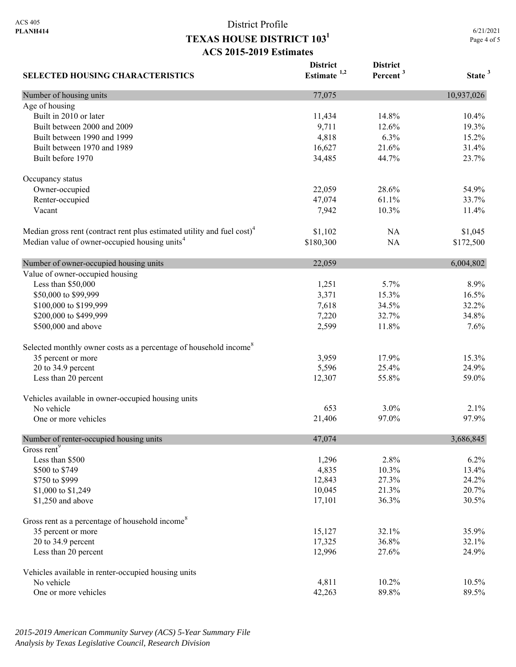**District** 

**District** 

| <b>SELECTED HOUSING CHARACTERISTICS</b>                                             | Estimate $1,2$ | Percent <sup>3</sup> | State <sup>3</sup> |
|-------------------------------------------------------------------------------------|----------------|----------------------|--------------------|
| Number of housing units                                                             | 77,075         |                      | 10,937,026         |
| Age of housing                                                                      |                |                      |                    |
| Built in 2010 or later                                                              | 11,434         | 14.8%                | 10.4%              |
| Built between 2000 and 2009                                                         | 9,711          | 12.6%                | 19.3%              |
| Built between 1990 and 1999                                                         | 4,818          | 6.3%                 | 15.2%              |
| Built between 1970 and 1989                                                         | 16,627         | 21.6%                | 31.4%              |
| Built before 1970                                                                   | 34,485         | 44.7%                | 23.7%              |
| Occupancy status                                                                    |                |                      |                    |
| Owner-occupied                                                                      | 22,059         | 28.6%                | 54.9%              |
| Renter-occupied                                                                     | 47,074         | 61.1%                | 33.7%              |
| Vacant                                                                              | 7,942          | 10.3%                | 11.4%              |
| Median gross rent (contract rent plus estimated utility and fuel cost) <sup>4</sup> | \$1,102        | NA                   | \$1,045            |
| Median value of owner-occupied housing units <sup>4</sup>                           | \$180,300      | NA                   | \$172,500          |
| Number of owner-occupied housing units                                              | 22,059         |                      | 6,004,802          |
| Value of owner-occupied housing                                                     |                |                      |                    |
| Less than \$50,000                                                                  | 1,251          | 5.7%                 | 8.9%               |
| \$50,000 to \$99,999                                                                | 3,371          | 15.3%                | 16.5%              |
| \$100,000 to \$199,999                                                              | 7,618          | 34.5%                | 32.2%              |
| \$200,000 to \$499,999                                                              | 7,220          | 32.7%                | 34.8%              |
| \$500,000 and above                                                                 | 2,599          | 11.8%                | 7.6%               |
| Selected monthly owner costs as a percentage of household income <sup>8</sup>       |                |                      |                    |
| 35 percent or more                                                                  | 3,959          | 17.9%                | 15.3%              |
| 20 to 34.9 percent                                                                  | 5,596          | 25.4%                | 24.9%              |
| Less than 20 percent                                                                | 12,307         | 55.8%                | 59.0%              |
| Vehicles available in owner-occupied housing units                                  |                |                      |                    |
| No vehicle                                                                          | 653            | 3.0%                 | 2.1%               |
| One or more vehicles                                                                | 21,406         | 97.0%                | 97.9%              |
| Number of renter-occupied housing units                                             | 47,074         |                      | 3,686,845          |
| Gross rent <sup>9</sup>                                                             |                |                      |                    |
| Less than \$500                                                                     | 1,296          | 2.8%                 | 6.2%               |
| \$500 to \$749                                                                      | 4,835          | 10.3%                | 13.4%              |
| \$750 to \$999                                                                      | 12,843         | 27.3%                | 24.2%              |
| \$1,000 to \$1,249                                                                  | 10,045         | 21.3%                | 20.7%              |
| \$1,250 and above                                                                   | 17,101         | 36.3%                | 30.5%              |
| Gross rent as a percentage of household income <sup>8</sup>                         |                |                      |                    |
| 35 percent or more                                                                  | 15,127         | 32.1%                | 35.9%              |
| 20 to 34.9 percent                                                                  | 17,325         | 36.8%                | 32.1%              |
| Less than 20 percent                                                                | 12,996         | 27.6%                | 24.9%              |
| Vehicles available in renter-occupied housing units                                 |                |                      |                    |
| No vehicle                                                                          | 4,811          | 10.2%                | 10.5%              |
| One or more vehicles                                                                | 42,263         | 89.8%                | 89.5%              |